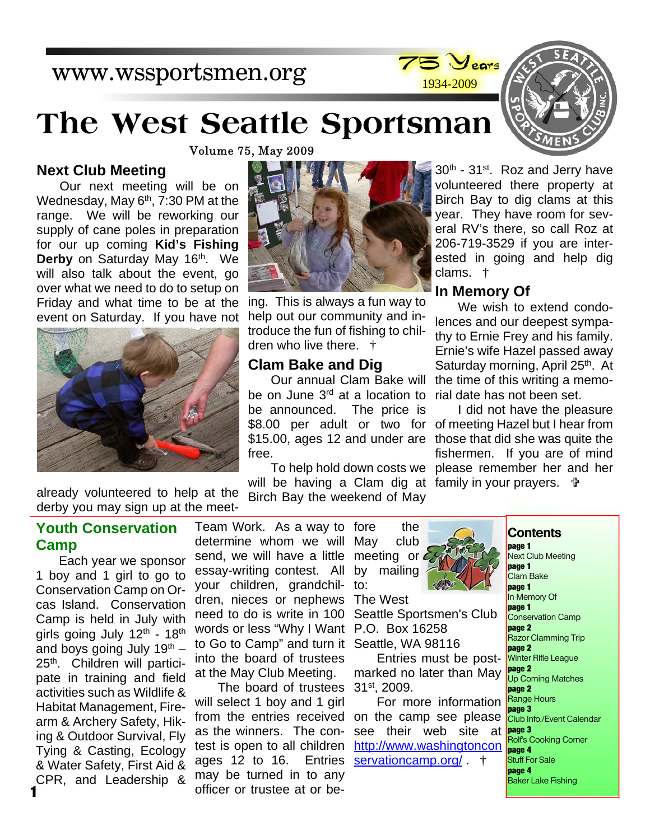## www.wssportsmen.org



# **The West Seattle Sportsman**



**Volume 75, May 2009** 

#### **Next Club Meeting**

Our next meeting will be on Wednesday, May  $6<sup>th</sup>$ ,  $7:30$  PM at the range. We will be reworking our supply of cane poles in preparation for our up coming **Kid's Fishing Derby** on Saturday May 16<sup>th</sup>. We will also talk about the event, go over what we need to do to setup on Friday and what time to be at the event on Saturday. If you have not





ing. This is always a fun way to help out our community and introduce the fun of fishing to children who live there. †

#### **Clam Bake and Dig**

be on June 3<sup>rd</sup> at a location to be announced. The price is \$8.00 per adult or two for \$15.00, ages 12 and under are free.

will be having a Clam dig at family in your prayers.

to:

30<sup>th</sup> - 31<sup>st</sup>. Roz and Jerry have volunteered there property at Birch Bay to dig clams at this year. They have room for several RV's there, so call Roz at 206-719-3529 if you are interested in going and help dig clams. †

#### **In Memory Of**

Our annual Clam Bake will the time of this writing a memo-We wish to extend condolences and our deepest sympathy to Ernie Frey and his family. Ernie's wife Hazel passed away Saturday morning, April 25<sup>th</sup>. At rial date has not been set.

To help hold down costs we please remember her and her I did not have the pleasure of meeting Hazel but I hear from those that did she was quite the fishermen. If you are of mind

Birch Bay the weekend of May already volunteered to help at the derby you may sign up at the meet-

#### **Youth Conservation Camp**

Each year we sponsor 1 boy and 1 girl to go to Conservation Camp on Orcas Island. Conservation Camp is held in July with girls going July  $12<sup>th</sup>$  -  $18<sup>th</sup>$ and boys going July  $19<sup>th</sup>$  – 25<sup>th</sup>. Children will participate in training and field activities such as Wildlife & Habitat Management, Firearm & Archery Safety, Hiking & Outdoor Survival, Fly Tying & Casting, Ecology & Water Safety, First Aid & CPR, and Leadership &

Team Work. As a way to fore the determine whom we will May club send, we will have a little essay-writing contest. All your children, grandchildren, nieces or nephews The West need to do is write in 100 words or less "Why I Want P.O. Box 16258 to Go to Camp" and turn it Seattle, WA 98116 into the board of trustees at the May Club Meeting.

The board of trustees will select 1 boy and 1 girl from the entries received as the winners. The contest is open to all children ages 12 to 16. Entries may be turned in to any officer or trustee at or be-



Seattle Sportsmen's Club

Entries must be postmarked no later than May 31st, 2009.

For more information on the camp see please see their web site at http://www.washingtoncon servationcamp.org/  $\dagger$ 

#### **Contents**

**page 1** Next Club Meeting **page 1** Clam Bake **page 1** In Memory Of **page 1** Conservation Camp **page 2** Razor Clamming Trip **page 2** Winter Rifle League **page 2** Up Coming Matches **page 2** Range Hours **page 3** Club Info./Event Calendar **page 3** .<br>Rolf's Cooking Corner **page 4** Stuff For Sale **page 4** Baker Lake Fishing

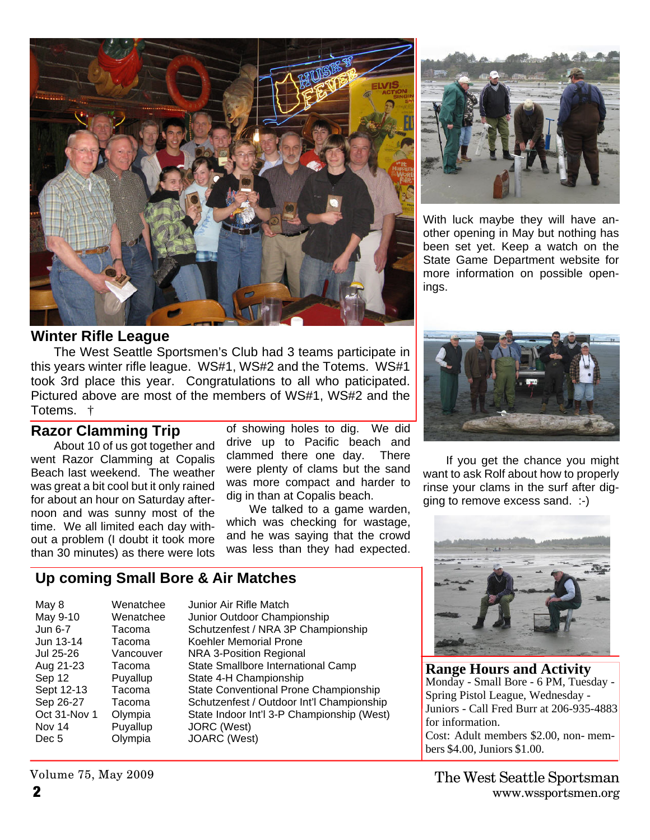

#### **Winter Rifle League**

The West Seattle Sportsmen's Club had 3 teams participate in this years winter rifle league. WS#1, WS#2 and the Totems. WS#1 took 3rd place this year. Congratulations to all who paticipated. Pictured above are most of the members of WS#1, WS#2 and the Totems. †

#### **Razor Clamming Trip**

About 10 of us got together and went Razor Clamming at Copalis Beach last weekend. The weather was great a bit cool but it only rained for about an hour on Saturday afternoon and was sunny most of the time. We all limited each day without a problem (I doubt it took more than 30 minutes) as there were lots

of showing holes to dig. We did drive up to Pacific beach and clammed there one day. There were plenty of clams but the sand was more compact and harder to dig in than at Copalis beach.

We talked to a game warden, which was checking for wastage, and he was saying that the crowd was less than they had expected.

#### **Up coming Small Bore & Air Matches**

| May 8        | Wenatche  |  |
|--------------|-----------|--|
| May 9-10     | Wenatche  |  |
| Jun 6-7      | Tacoma    |  |
| Jun 13-14    | Tacoma    |  |
| Jul 25-26    | Vancouver |  |
| Aug 21-23    | Tacoma    |  |
| Sep 12       | Puyallup  |  |
| Sept 12-13   | Tacoma    |  |
| Sep 26-27    | Tacoma    |  |
| Oct 31-Nov 1 | Olympia   |  |
| Nov 14       | Puyallup  |  |
| Dec 5        | Olympia   |  |
|              |           |  |

e Junior Air Rifle Match e Junior Outdoor Championship Schutzenfest / NRA 3P Championship Koehler Memorial Prone NRA 3-Position Regional State Smallbore International Camp State 4-H Championship State Conventional Prone Championship Schutzenfest / Outdoor Int'l Championship State Indoor Int'l 3-P Championship (West) JORC (West) JOARC (West)



With luck maybe they will have another opening in May but nothing has been set yet. Keep a watch on the State Game Department website for more information on possible openings.



If you get the chance you might want to ask Rolf about how to properly rinse your clams in the surf after digging to remove excess sand. :-)



**Range Hours and Activity** Monday - Small Bore - 6 PM, Tuesday - Spring Pistol League, Wednesday - Juniors - Call Fred Burr at 206-935-4883 for information. Cost: Adult members \$2.00, non- members \$4.00, Juniors \$1.00.

Volume 75, May 2009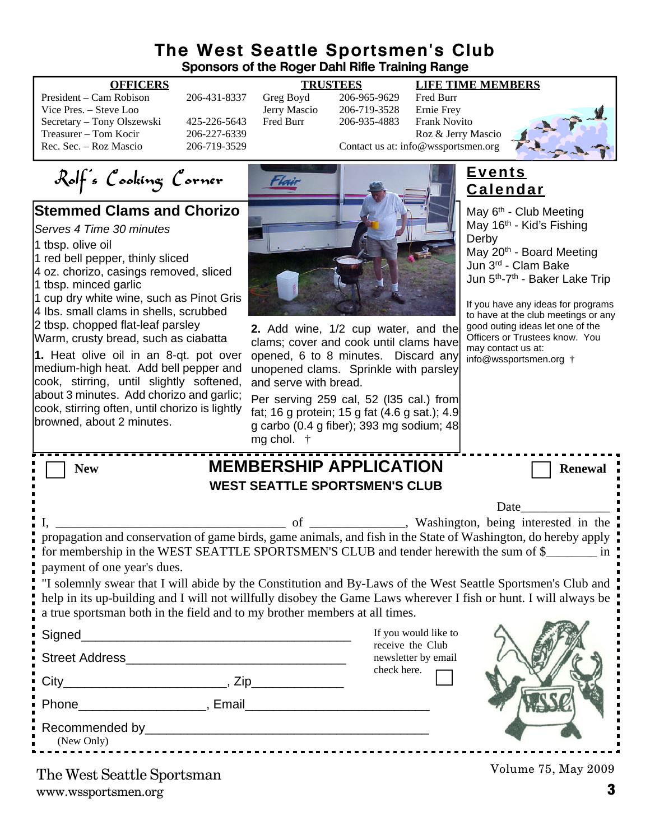#### **The West Seattle Sportsmen's Club Sponsors of the Roger Dahl Rifle Training Range**

President – Cam Robison 206-431-8337 Greg Boyd 206-965-9629 Fred Burr Vice Pres. – Steve Loo Jerry Mascio 206-719-3528 Ernie Frey Secretary – Tony Olszewski 425-226-5643 Fred Burr 206-935-4883 Frank Novito Treasurer – Tom Kocir 206-227-6339<br>
Roz & Jerry Mascio 206-719-3529 Contact us at: info@wssportsmen.org

#### **OFFICERS TRUSTEES LIFE TIME MEMBERS**

206-719-3529 Contact us at: info@wssportsmen.org

Rolf's Cooking Corner

### **Stemmed Clams and Chorizo**

*Serves 4 Time 30 minutes*

1 tbsp. olive oil

1 red bell pepper, thinly sliced 4 oz. chorizo, casings removed, sliced

1 tbsp. minced garlic

1 cup dry white wine, such as Pinot Gris 4 Ibs. small clams in shells, scrubbed 2 tbsp. chopped flat-leaf parsley

Warm, crusty bread, such as ciabatta

**1.** Heat olive oil in an 8-qt. pot over medium-high heat. Add bell pepper and cook, stirring, until slightly softened, about 3 minutes. Add chorizo and garlic; cook, stirring often, until chorizo is lightly browned, about 2 minutes.



**2.** Add wine, 1/2 cup water, and the clams; cover and cook until clams have opened, 6 to 8 minutes. Discard any unopened clams. Sprinkle with parsley and serve with bread.

Per serving 259 cal, 52 (I35 cal.) from fat; 16 g protein; 15 g fat (4.6 g sat.); 4.9 g carbo (0.4 g fiber); 393 mg sodium; 48  $\alpha$  chol.

**Events Calendar**

May 6<sup>th</sup> - Club Meeting May  $16<sup>th</sup>$  - Kid's Fishing Derby May 20<sup>th</sup> - Board Meeting Jun 3rd - Clam Bake Jun 5th-7th - Baker Lake Trip

If you have any ideas for programs to have at the club meetings or any good outing ideas let one of the Officers or Trustees know. You may contact us at: info@wssportsmen.org †

| THY CHOL.                                                                                                                                                                                                                                                                                                                                                                                                                                                                                                                                                |                                          |                     |  |
|----------------------------------------------------------------------------------------------------------------------------------------------------------------------------------------------------------------------------------------------------------------------------------------------------------------------------------------------------------------------------------------------------------------------------------------------------------------------------------------------------------------------------------------------------------|------------------------------------------|---------------------|--|
| <b>MEMBERSHIP APPLICATION</b><br><b>New</b>                                                                                                                                                                                                                                                                                                                                                                                                                                                                                                              |                                          | <b>Renewal</b>      |  |
| <b>WEST SEATTLE SPORTSMEN'S CLUB</b>                                                                                                                                                                                                                                                                                                                                                                                                                                                                                                                     |                                          |                     |  |
|                                                                                                                                                                                                                                                                                                                                                                                                                                                                                                                                                          |                                          | Date                |  |
| propagation and conservation of game birds, game animals, and fish in the State of Washington, do hereby apply<br>for membership in the WEST SEATTLE SPORTSMEN'S CLUB and tender herewith the sum of \$<br>payment of one year's dues.<br>"I solemnly swear that I will abide by the Constitution and By-Laws of the West Seattle Sportsmen's Club and<br>help in its up-building and I will not willfully disobey the Game Laws wherever I fish or hunt. I will always be<br>a true sportsman both in the field and to my brother members at all times. |                                          |                     |  |
|                                                                                                                                                                                                                                                                                                                                                                                                                                                                                                                                                          | If you would like to<br>receive the Club |                     |  |
|                                                                                                                                                                                                                                                                                                                                                                                                                                                                                                                                                          | newsletter by email                      |                     |  |
|                                                                                                                                                                                                                                                                                                                                                                                                                                                                                                                                                          | check here.                              |                     |  |
| Phone Representation of the Representation of the Representation of the Representation of the Representation of                                                                                                                                                                                                                                                                                                                                                                                                                                          |                                          |                     |  |
| (New Only)                                                                                                                                                                                                                                                                                                                                                                                                                                                                                                                                               |                                          |                     |  |
| The West Seattle Sportsman                                                                                                                                                                                                                                                                                                                                                                                                                                                                                                                               |                                          | Volume 75, May 2009 |  |

www.wssportsmen.org **3** The West Seattle Sportsman